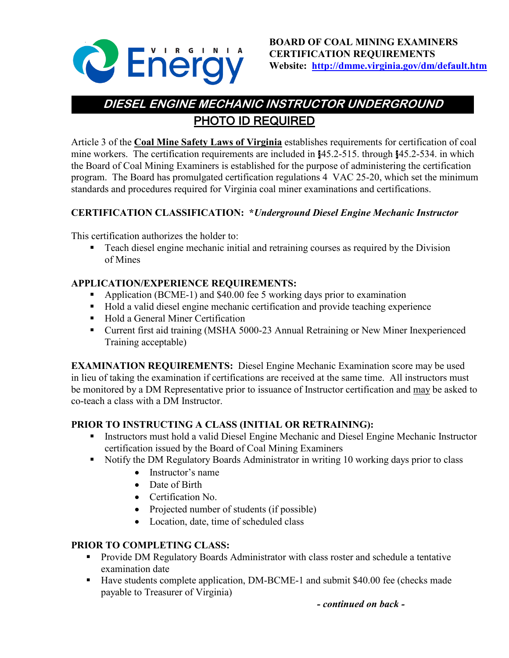

# PHOTO ID REQUIRED **DIESEL ENGINE MECHANIC INSTRUCTOR UNDERGROUND**

Article 3 of the **Coal Mine Safety Laws of Virginia** establishes requirements for certification of coal mine workers. The certification requirements are included in §45.2-515. through §45.2-534. in which the Board of Coal Mining Examiners is established for the purpose of administering the certification program. The Board has promulgated certification regulations 4 VAC 25-20, which set the minimum standards and procedures required for Virginia coal miner examinations and certifications.

## **CERTIFICATION CLASSIFICATION: \****Underground Diesel Engine Mechanic Instructor*

This certification authorizes the holder to:

**Teach diesel engine mechanic initial and retraining courses as required by the Division** of Mines

## **APPLICATION/EXPERIENCE REQUIREMENTS:**

- Application (BCME-1) and \$40.00 fee 5 working days prior to examination
- Hold a valid diesel engine mechanic certification and provide teaching experience
- Hold a General Miner Certification
- Current first aid training (MSHA 5000-23 Annual Retraining or New Miner Inexperienced Training acceptable)

**EXAMINATION REQUIREMENTS:** Diesel Engine Mechanic Examination score may be used in lieu of taking the examination if certifications are received at the same time. All instructors must be monitored by a DM Representative prior to issuance of Instructor certification and may be asked to co-teach a class with a DM Instructor.

## **PRIOR TO INSTRUCTING A CLASS (INITIAL OR RETRAINING):**

- Instructors must hold a valid Diesel Engine Mechanic and Diesel Engine Mechanic Instructor certification issued by the Board of Coal Mining Examiners
- Notify the DM Regulatory Boards Administrator in writing 10 working days prior to class
	- Instructor's name
	- Date of Birth
	- Certification No.
	- Projected number of students (if possible)
	- Location, date, time of scheduled class

## **PRIOR TO COMPLETING CLASS:**

- **Provide DM Regulatory Boards Administrator with class roster and schedule a tentative** examination date
- Have students complete application, DM-BCME-1 and submit \$40.00 fee (checks made payable to Treasurer of Virginia)

*- continued on back -*